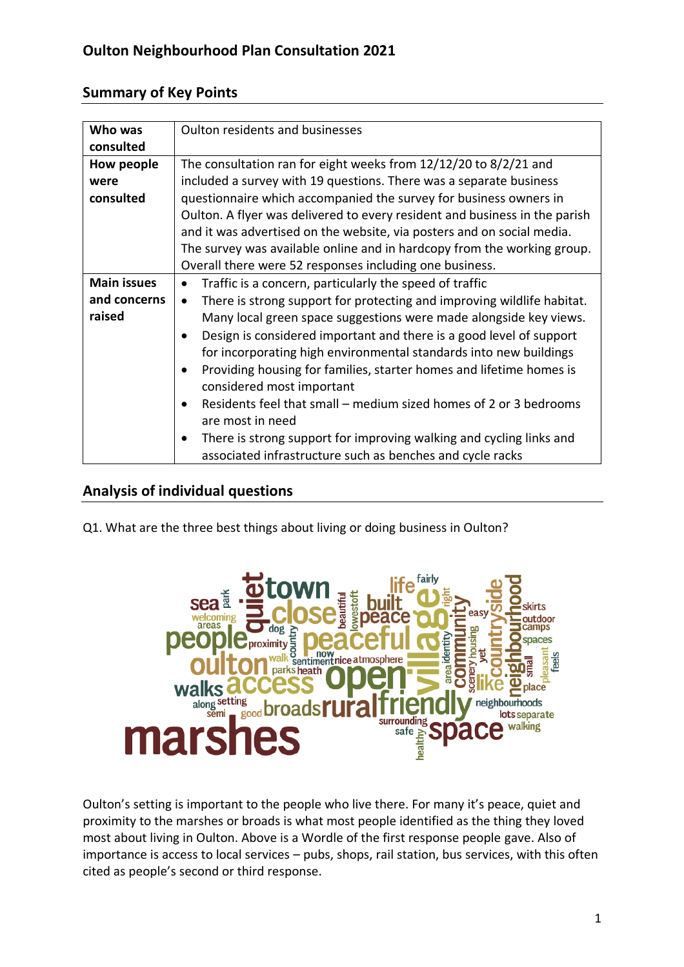| Who was            | Oulton residents and businesses                                                                                                                      |
|--------------------|------------------------------------------------------------------------------------------------------------------------------------------------------|
| consulted          |                                                                                                                                                      |
| How people         | The consultation ran for eight weeks from 12/12/20 to 8/2/21 and                                                                                     |
| were               | included a survey with 19 questions. There was a separate business                                                                                   |
| consulted          | questionnaire which accompanied the survey for business owners in                                                                                    |
|                    | Oulton. A flyer was delivered to every resident and business in the parish<br>and it was advertised on the website, via posters and on social media. |
|                    | The survey was available online and in hardcopy from the working group.                                                                              |
|                    | Overall there were 52 responses including one business.                                                                                              |
| <b>Main issues</b> | Traffic is a concern, particularly the speed of traffic                                                                                              |
| and concerns       | There is strong support for protecting and improving wildlife habitat.<br>$\bullet$                                                                  |
| raised             | Many local green space suggestions were made alongside key views.                                                                                    |
|                    | Design is considered important and there is a good level of support                                                                                  |
|                    | for incorporating high environmental standards into new buildings                                                                                    |
|                    | Providing housing for families, starter homes and lifetime homes is                                                                                  |
|                    | considered most important                                                                                                                            |
|                    | Residents feel that small – medium sized homes of 2 or 3 bedrooms                                                                                    |
|                    | are most in need                                                                                                                                     |
|                    | There is strong support for improving walking and cycling links and                                                                                  |
|                    | associated infrastructure such as benches and cycle racks                                                                                            |

### **Summary of Key Points**

### **Analysis of individual questions**

Q1. What are the three best things about living or doing business in Oulton?



Oulton's setting is important to the people who live there. For many it's peace, quiet and proximity to the marshes or broads is what most people identified as the thing they loved most about living in Oulton. Above is a Wordle of the first response people gave. Also of importance is access to local services – pubs, shops, rail station, bus services, with this often cited as people's second or third response.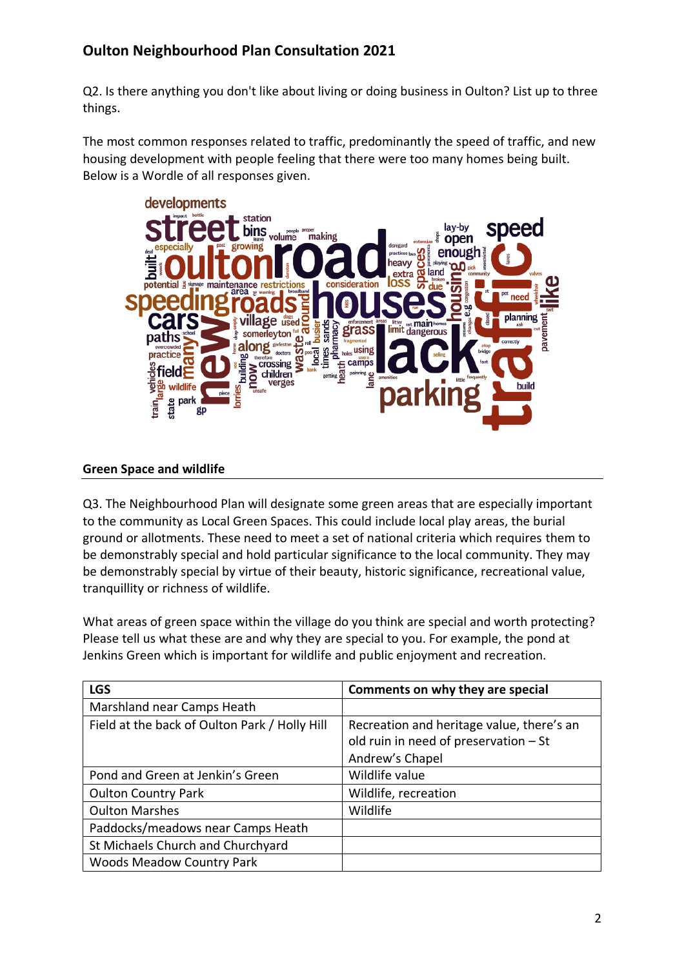Q2. Is there anything you don't like about living or doing business in Oulton? List up to three things.

The most common responses related to traffic, predominantly the speed of traffic, and new housing development with people feeling that there were too many homes being built. Below is a Wordle of all responses given.



#### **Green Space and wildlife**

Q3. The Neighbourhood Plan will designate some green areas that are especially important to the community as Local Green Spaces. This could include local play areas, the burial ground or allotments. These need to meet a set of national criteria which requires them to be demonstrably special and hold particular significance to the local community. They may be demonstrably special by virtue of their beauty, historic significance, recreational value, tranquillity or richness of wildlife.

What areas of green space within the village do you think are special and worth protecting? Please tell us what these are and why they are special to you. For example, the pond at Jenkins Green which is important for wildlife and public enjoyment and recreation.

| <b>LGS</b>                                    | Comments on why they are special                                                                      |
|-----------------------------------------------|-------------------------------------------------------------------------------------------------------|
| Marshland near Camps Heath                    |                                                                                                       |
| Field at the back of Oulton Park / Holly Hill | Recreation and heritage value, there's an<br>old ruin in need of preservation - St<br>Andrew's Chapel |
| Pond and Green at Jenkin's Green              | Wildlife value                                                                                        |
| <b>Oulton Country Park</b>                    | Wildlife, recreation                                                                                  |
| <b>Oulton Marshes</b>                         | Wildlife                                                                                              |
| Paddocks/meadows near Camps Heath             |                                                                                                       |
| St Michaels Church and Churchyard             |                                                                                                       |
| <b>Woods Meadow Country Park</b>              |                                                                                                       |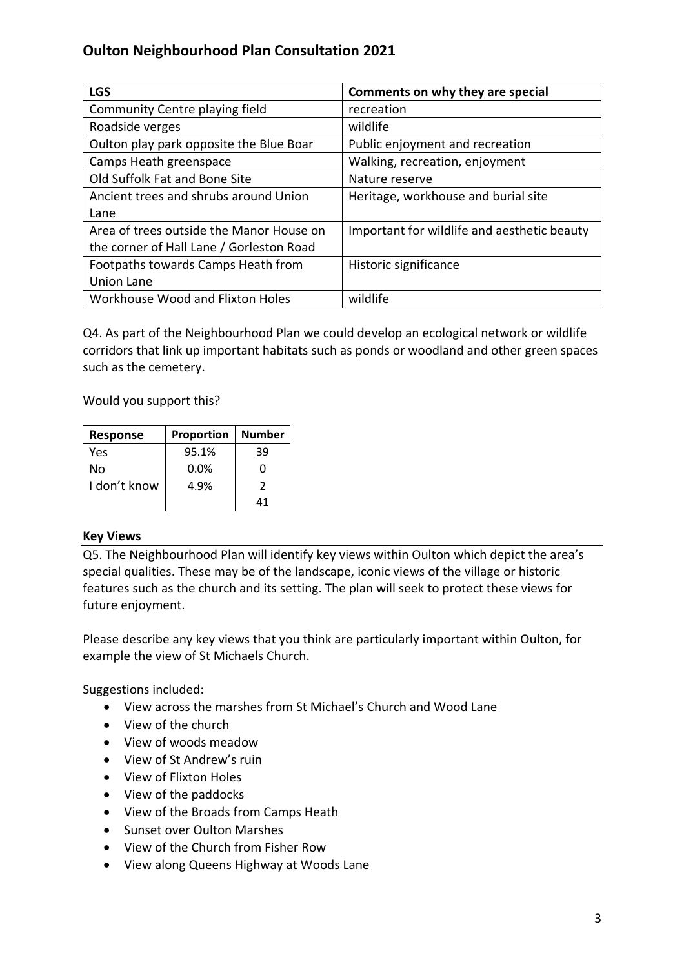| <b>LGS</b>                               | Comments on why they are special            |
|------------------------------------------|---------------------------------------------|
| Community Centre playing field           | recreation                                  |
| Roadside verges                          | wildlife                                    |
| Oulton play park opposite the Blue Boar  | Public enjoyment and recreation             |
| Camps Heath greenspace                   | Walking, recreation, enjoyment              |
| Old Suffolk Fat and Bone Site            | Nature reserve                              |
| Ancient trees and shrubs around Union    | Heritage, workhouse and burial site         |
| Lane                                     |                                             |
| Area of trees outside the Manor House on | Important for wildlife and aesthetic beauty |
| the corner of Hall Lane / Gorleston Road |                                             |
| Footpaths towards Camps Heath from       | Historic significance                       |
| <b>Union Lane</b>                        |                                             |
| Workhouse Wood and Flixton Holes         | wildlife                                    |

Q4. As part of the Neighbourhood Plan we could develop an ecological network or wildlife corridors that link up important habitats such as ponds or woodland and other green spaces such as the cemetery.

Would you support this?

| <b>Response</b> | Proportion | <b>Number</b> |
|-----------------|------------|---------------|
| Yes             | 95.1%      | 39            |
| No              | 0.0%       | O             |
| I don't know    | 4.9%       | 2             |
|                 |            | 41            |

#### **Key Views**

Q5. The Neighbourhood Plan will identify key views within Oulton which depict the area's special qualities. These may be of the landscape, iconic views of the village or historic features such as the church and its setting. The plan will seek to protect these views for future enjoyment.

Please describe any key views that you think are particularly important within Oulton, for example the view of St Michaels Church.

Suggestions included:

- View across the marshes from St Michael's Church and Wood Lane
- View of the church
- View of woods meadow
- View of St Andrew's ruin
- View of Flixton Holes
- View of the paddocks
- View of the Broads from Camps Heath
- Sunset over Oulton Marshes
- View of the Church from Fisher Row
- View along Queens Highway at Woods Lane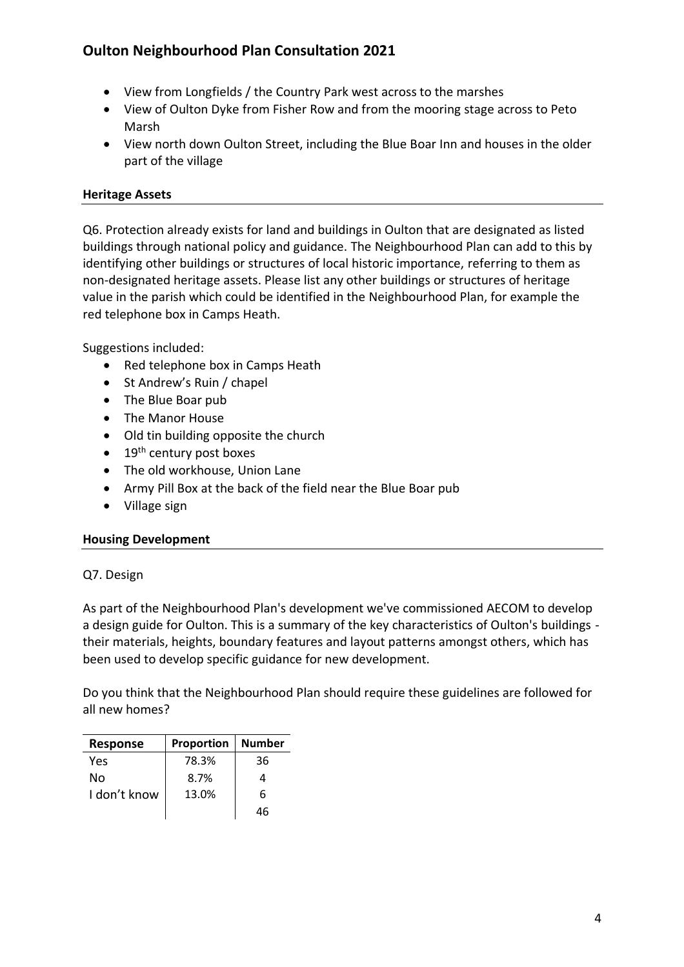- View from Longfields / the Country Park west across to the marshes
- View of Oulton Dyke from Fisher Row and from the mooring stage across to Peto Marsh
- View north down Oulton Street, including the Blue Boar Inn and houses in the older part of the village

### **Heritage Assets**

Q6. Protection already exists for land and buildings in Oulton that are designated as listed buildings through national policy and guidance. The Neighbourhood Plan can add to this by identifying other buildings or structures of local historic importance, referring to them as non-designated heritage assets. Please list any other buildings or structures of heritage value in the parish which could be identified in the Neighbourhood Plan, for example the red telephone box in Camps Heath.

Suggestions included:

- Red telephone box in Camps Heath
- St Andrew's Ruin / chapel
- The Blue Boar pub
- The Manor House
- Old tin building opposite the church
- $\bullet$  19<sup>th</sup> century post boxes
- The old workhouse, Union Lane
- Army Pill Box at the back of the field near the Blue Boar pub
- Village sign

#### **Housing Development**

#### Q7. Design

As part of the Neighbourhood Plan's development we've commissioned AECOM to develop a design guide for Oulton. This is a summary of the key characteristics of Oulton's buildings their materials, heights, boundary features and layout patterns amongst others, which has been used to develop specific guidance for new development.

Do you think that the Neighbourhood Plan should require these guidelines are followed for all new homes?

| <b>Response</b> | Proportion | <b>Number</b> |
|-----------------|------------|---------------|
| Yes             | 78.3%      | 36            |
| No              | 8.7%       | 4             |
| I don't know    | 13.0%      | 6             |
|                 |            |               |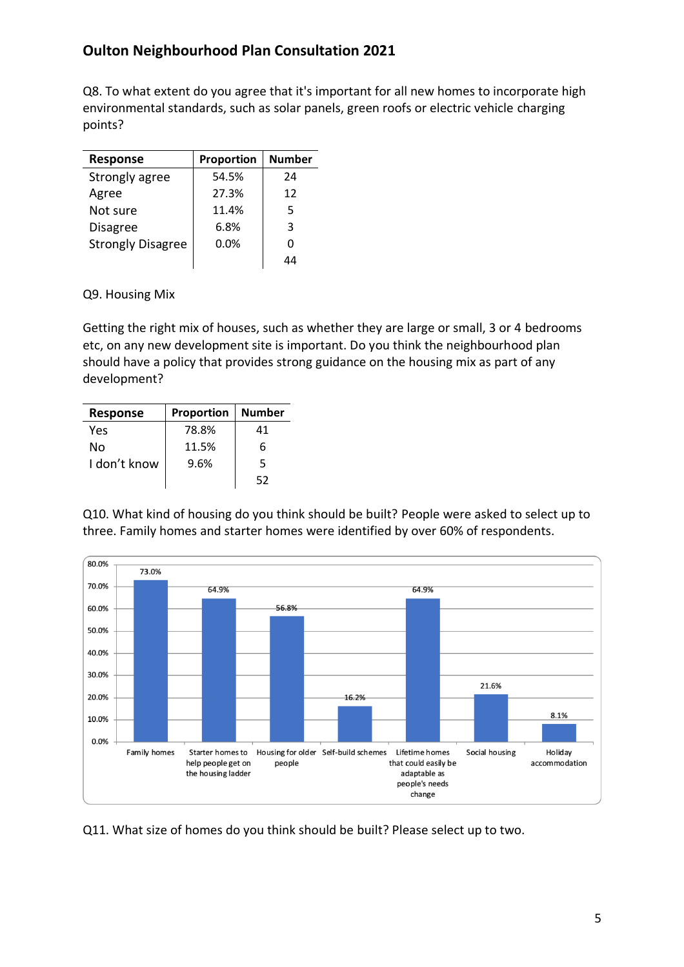Q8. To what extent do you agree that it's important for all new homes to incorporate high environmental standards, such as solar panels, green roofs or electric vehicle charging points?

| <b>Response</b>          | Proportion | <b>Number</b> |
|--------------------------|------------|---------------|
| Strongly agree           | 54.5%      | 24            |
| Agree                    | 27.3%      | 12            |
| Not sure                 | 11.4%      | 5             |
| <b>Disagree</b>          | 6.8%       | 3             |
| <b>Strongly Disagree</b> | $0.0\%$    | n             |
|                          |            |               |

Q9. Housing Mix

Getting the right mix of houses, such as whether they are large or small, 3 or 4 bedrooms etc, on any new development site is important. Do you think the neighbourhood plan should have a policy that provides strong guidance on the housing mix as part of any development?

| <b>Response</b> | Proportion | <b>Number</b> |
|-----------------|------------|---------------|
| Yes             | 78.8%      | 41            |
| No              | 11.5%      | 6             |
| I don't know    | 9.6%       | 5             |
|                 |            | 52            |

Q10. What kind of housing do you think should be built? People were asked to select up to three. Family homes and starter homes were identified by over 60% of respondents.



Q11. What size of homes do you think should be built? Please select up to two.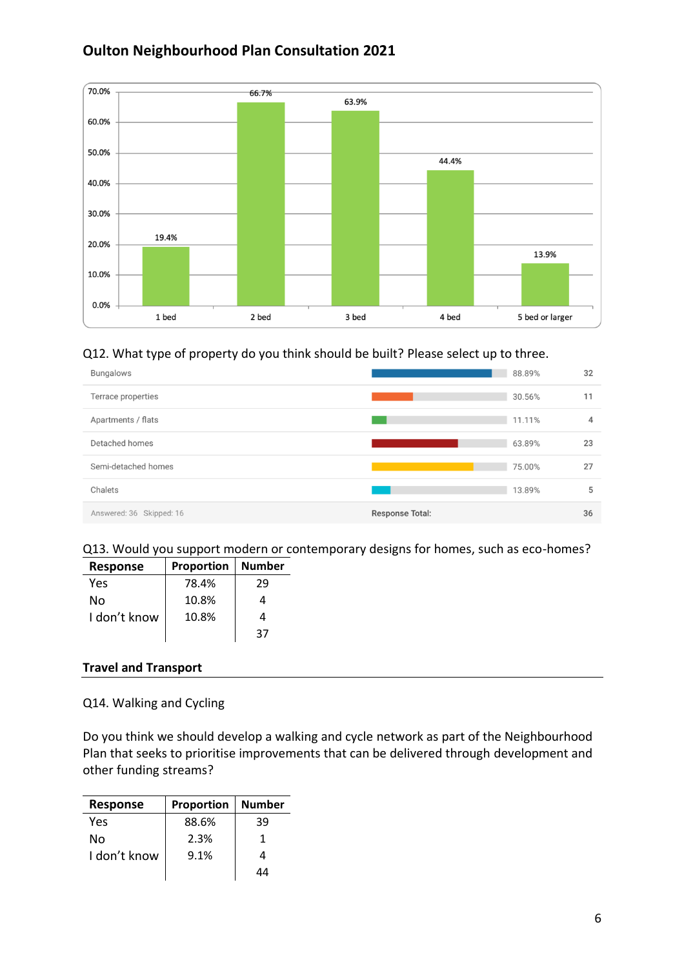

#### Q12. What type of property do you think should be built? Please select up to three.



### Q13. Would you support modern or contemporary designs for homes, such as eco-homes?

| Response     | Proportion | <b>Number</b> |
|--------------|------------|---------------|
| Yes          | 78.4%      | 29            |
| No           | 10.8%      | 4             |
| I don't know | 10.8%      | 4             |
|              |            | 37            |

#### **Travel and Transport**

Q14. Walking and Cycling

Do you think we should develop a walking and cycle network as part of the Neighbourhood Plan that seeks to prioritise improvements that can be delivered through development and other funding streams?

| <b>Response</b> | Proportion | <b>Number</b> |
|-----------------|------------|---------------|
| Yes             | 88.6%      | 39            |
| No              | 2.3%       |               |
| I don't know    | 9.1%       | 4             |
|                 |            | ΔΔ            |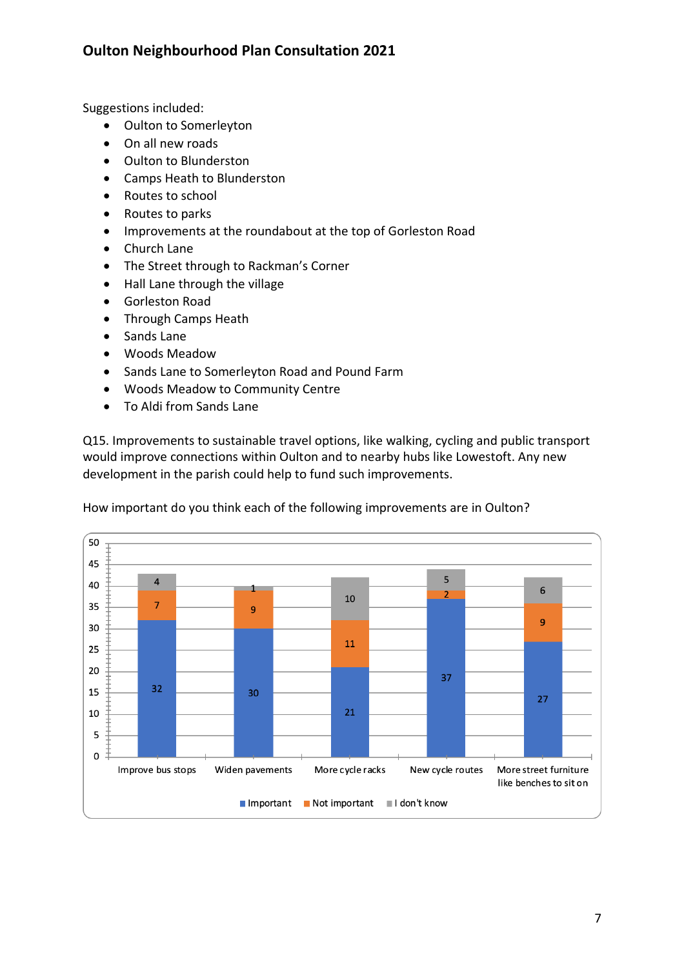Suggestions included:

- Oulton to Somerleyton
- On all new roads
- Oulton to Blunderston
- Camps Heath to Blunderston
- Routes to school
- Routes to parks
- Improvements at the roundabout at the top of Gorleston Road
- Church Lane
- The Street through to Rackman's Corner
- Hall Lane through the village
- Gorleston Road
- Through Camps Heath
- Sands Lane
- Woods Meadow
- Sands Lane to Somerleyton Road and Pound Farm
- Woods Meadow to Community Centre
- To Aldi from Sands Lane

Q15. Improvements to sustainable travel options, like walking, cycling and public transport would improve connections within Oulton and to nearby hubs like Lowestoft. Any new development in the parish could help to fund such improvements.



How important do you think each of the following improvements are in Oulton?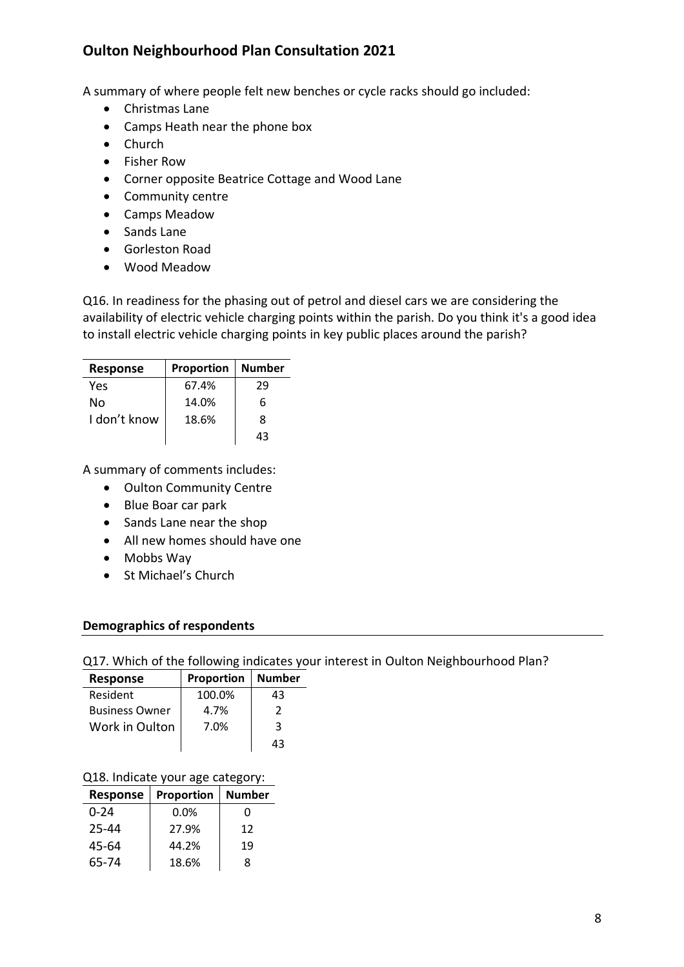A summary of where people felt new benches or cycle racks should go included:

- Christmas Lane
- Camps Heath near the phone box
- Church
- Fisher Row
- Corner opposite Beatrice Cottage and Wood Lane
- Community centre
- Camps Meadow
- Sands Lane
- Gorleston Road
- Wood Meadow

Q16. In readiness for the phasing out of petrol and diesel cars we are considering the availability of electric vehicle charging points within the parish. Do you think it's a good idea to install electric vehicle charging points in key public places around the parish?

| <b>Response</b> | <b>Proportion</b> | <b>Number</b> |
|-----------------|-------------------|---------------|
| Yes             | 67.4%             | 29            |
| N٥              | 14.0%             | 6             |
| I don't know    | 18.6%             | 8             |
|                 |                   | 43            |

A summary of comments includes:

- Oulton Community Centre
- Blue Boar car park
- Sands Lane near the shop
- All new homes should have one
- Mobbs Way
- St Michael's Church

#### **Demographics of respondents**

Q17. Which of the following indicates your interest in Oulton Neighbourhood Plan?

| <b>Response</b>       | Proportion | <b>Number</b> |
|-----------------------|------------|---------------|
| Resident              | 100.0%     | 43            |
| <b>Business Owner</b> | 4.7%       | 2             |
| Work in Oulton        | 7.0%       | З             |
|                       |            | 43            |

#### Q18. Indicate your age category:

| Response | Proportion | <b>Number</b> |
|----------|------------|---------------|
| 0-24     | $0.0\%$    | O             |
| 25-44    | 27.9%      | 12            |
| 45-64    | 44.2%      | 19            |
| 65-74    | 18.6%      | 8             |